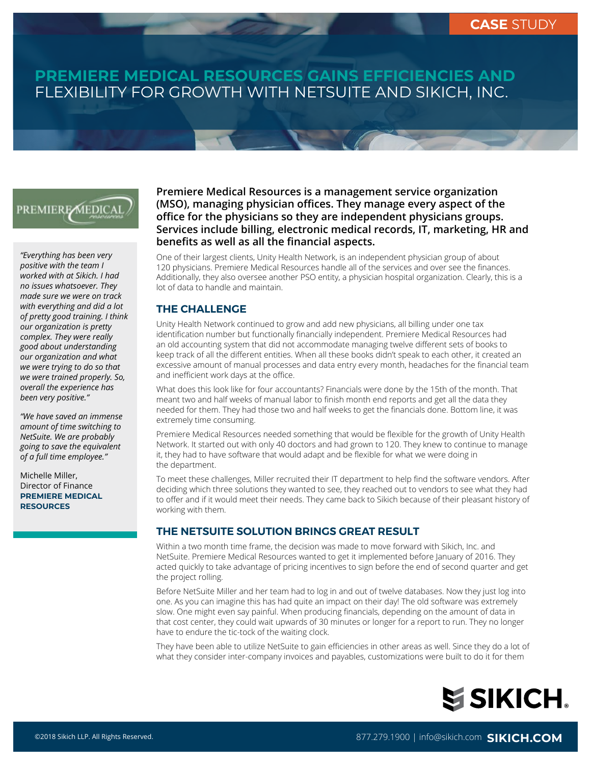# **PREMIERE MEDICAL RESOURCES GAINS EFFICIENCIES AND**  FLEXIBILITY FOR GROWTH WITH NETSUITE AND SIKICH, INC.

# **PREMIERE MEDICAL**

*"Everything has been very positive with the team I worked with at Sikich. I had no issues whatsoever. They made sure we were on track with everything and did a lot of pretty good training. I think our organization is pretty complex. They were really good about understanding our organization and what we were trying to do so that we were trained properly. So, overall the experience has been very positive."*

*"We have saved an immense amount of time switching to NetSuite. We are probably going to save the equivalent of a full time employee."*

Michelle Miller, Director of Finance **PREMIERE MEDICAL RESOURCES**

#### **Premiere Medical Resources is a management service organization (MSO), managing physician offices. They manage every aspect of the office for the physicians so they are independent physicians groups. Services include billing, electronic medical records, IT, marketing, HR and benefits as well as all the financial aspects.**

One of their largest clients, Unity Health Network, is an independent physician group of about 120 physicians. Premiere Medical Resources handle all of the services and over see the finances. Additionally, they also oversee another PSO entity, a physician hospital organization. Clearly, this is a lot of data to handle and maintain.

#### **THE CHALLENGE**

Unity Health Network continued to grow and add new physicians, all billing under one tax identification number but functionally financially independent. Premiere Medical Resources had an old accounting system that did not accommodate managing twelve different sets of books to keep track of all the different entities. When all these books didn't speak to each other, it created an excessive amount of manual processes and data entry every month, headaches for the financial team and inefficient work days at the office.

What does this look like for four accountants? Financials were done by the 15th of the month. That meant two and half weeks of manual labor to finish month end reports and get all the data they needed for them. They had those two and half weeks to get the financials done. Bottom line, it was extremely time consuming.

Premiere Medical Resources needed something that would be flexible for the growth of Unity Health Network. It started out with only 40 doctors and had grown to 120. They knew to continue to manage it, they had to have software that would adapt and be flexible for what we were doing in the department.

To meet these challenges, Miller recruited their IT department to help find the software vendors. After deciding which three solutions they wanted to see, they reached out to vendors to see what they had to offer and if it would meet their needs. They came back to Sikich because of their pleasant history of working with them.

#### **THE NETSUITE SOLUTION BRINGS GREAT RESULT**

Within a two month time frame, the decision was made to move forward with Sikich, Inc. and NetSuite. Premiere Medical Resources wanted to get it implemented before January of 2016. They acted quickly to take advantage of pricing incentives to sign before the end of second quarter and get the project rolling.

Before NetSuite Miller and her team had to log in and out of twelve databases. Now they just log into one. As you can imagine this has had quite an impact on their day! The old software was extremely slow. One might even say painful. When producing financials, depending on the amount of data in that cost center, they could wait upwards of 30 minutes or longer for a report to run. They no longer have to endure the tic-tock of the waiting clock.

They have been able to utilize NetSuite to gain efficiencies in other areas as well. Since they do a lot of what they consider inter-company invoices and payables, customizations were built to do it for them